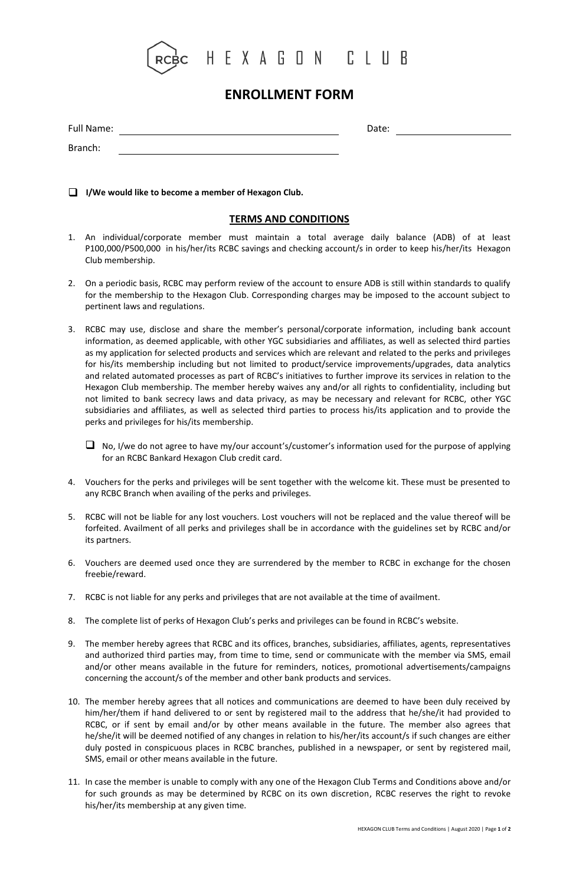

## **ENROLLMENT FORM**

| Full Name: | Date: |  |
|------------|-------|--|
| Branch:    |       |  |

**I/We would like to become a member of Hexagon Club.**

### **TERMS AND CONDITIONS**

- 1. An individual/corporate member must maintain a total average daily balance (ADB) of at least P100,000/P500,000 in his/her/its RCBC savings and checking account/s in order to keep his/her/its Hexagon Club membership.
- 2. On a periodic basis, RCBC may perform review of the account to ensure ADB is still within standards to qualify for the membership to the Hexagon Club. Corresponding charges may be imposed to the account subject to pertinent laws and regulations.
- 3. RCBC may use, disclose and share the member's personal/corporate information, including bank account information, as deemed applicable, with other YGC subsidiaries and affiliates, as well as selected third parties as my application for selected products and services which are relevant and related to the perks and privileges for his/its membership including but not limited to product/service improvements/upgrades, data analytics and related automated processes as part of RCBC's initiatives to further improve its services in relation to the Hexagon Club membership. The member hereby waives any and/or all rights to confidentiality, including but not limited to bank secrecy laws and data privacy, as may be necessary and relevant for RCBC, other YGC subsidiaries and affiliates, as well as selected third parties to process his/its application and to provide the perks and privileges for his/its membership.
	- $\Box$  No, I/we do not agree to have my/our account's/customer's information used for the purpose of applying for an RCBC Bankard Hexagon Club credit card.
- 4. Vouchers for the perks and privileges will be sent together with the welcome kit. These must be presented to any RCBC Branch when availing of the perks and privileges.
- 5. RCBC will not be liable for any lost vouchers. Lost vouchers will not be replaced and the value thereof will be forfeited. Availment of all perks and privileges shall be in accordance with the guidelines set by RCBC and/or its partners.
- 6. Vouchers are deemed used once they are surrendered by the member to RCBC in exchange for the chosen freebie/reward.
- 7. RCBC is not liable for any perks and privileges that are not available at the time of availment.
- 8. The complete list of perks of Hexagon Club's perks and privileges can be found in RCBC's website.
- 9. The member hereby agrees that RCBC and its offices, branches, subsidiaries, affiliates, agents, representatives and authorized third parties may, from time to time, send or communicate with the member via SMS, email and/or other means available in the future for reminders, notices, promotional advertisements/campaigns concerning the account/s of the member and other bank products and services.
- 10. The member hereby agrees that all notices and communications are deemed to have been duly received by him/her/them if hand delivered to or sent by registered mail to the address that he/she/it had provided to RCBC, or if sent by email and/or by other means available in the future. The member also agrees that he/she/it will be deemed notified of any changes in relation to his/her/its account/s if such changes are either duly posted in conspicuous places in RCBC branches, published in a newspaper, or sent by registered mail, SMS, email or other means available in the future.
- 11. In case the member is unable to comply with any one of the Hexagon Club Terms and Conditions above and/or for such grounds as may be determined by RCBC on its own discretion, RCBC reserves the right to revoke his/her/its membership at any given time.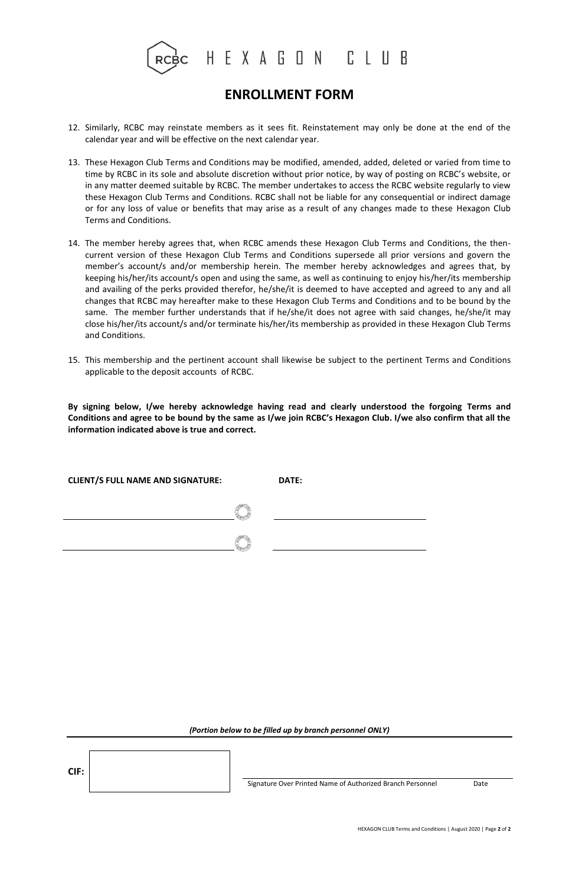

## **ENROLLMENT FORM**

- 12. Similarly, RCBC may reinstate members as it sees fit. Reinstatement may only be done at the end of the calendar year and will be effective on the next calendar year.
- 13. These Hexagon Club Terms and Conditions may be modified, amended, added, deleted or varied from time to time by RCBC in its sole and absolute discretion without prior notice, by way of posting on RCBC's website, or in any matter deemed suitable by RCBC. The member undertakes to access the RCBC website regularly to view these Hexagon Club Terms and Conditions. RCBC shall not be liable for any consequential or indirect damage or for any loss of value or benefits that may arise as a result of any changes made to these Hexagon Club Terms and Conditions.
- 14. The member hereby agrees that, when RCBC amends these Hexagon Club Terms and Conditions, the thencurrent version of these Hexagon Club Terms and Conditions supersede all prior versions and govern the member's account/s and/or membership herein. The member hereby acknowledges and agrees that, by keeping his/her/its account/s open and using the same, as well as continuing to enjoy his/her/its membership and availing of the perks provided therefor, he/she/it is deemed to have accepted and agreed to any and all changes that RCBC may hereafter make to these Hexagon Club Terms and Conditions and to be bound by the same. The member further understands that if he/she/it does not agree with said changes, he/she/it may close his/her/its account/s and/or terminate his/her/its membership as provided in these Hexagon Club Terms and Conditions.
- 15. This membership and the pertinent account shall likewise be subject to the pertinent Terms and Conditions applicable to the deposit accounts of RCBC.

**By signing below, I/we hereby acknowledge having read and clearly understood the forgoing Terms and Conditions and agree to be bound by the same as I/we join RCBC's Hexagon Club. I/we also confirm that all the information indicated above is true and correct.** 

| <b>CLIENT/S FULL NAME AND SIGNATURE:</b> | DATE: |
|------------------------------------------|-------|
|                                          |       |
|                                          |       |

### *(Portion below to be filled up by branch personnel ONLY)*

**CIF:**

Signature Over Printed Name of Authorized Branch Personnel Date